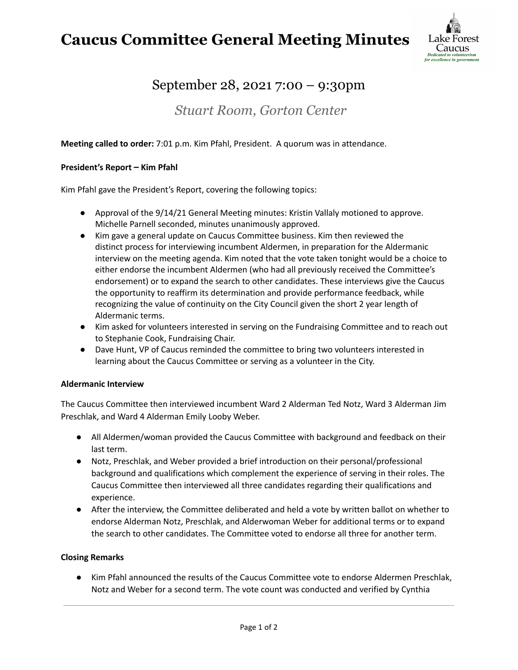## **Caucus Committee General Meeting Minutes**



### September 28, 2021 7:00 – 9:30pm

### *Stuart Room, Gorton Center*

**Meeting called to order:** 7:01 p.m. Kim Pfahl, President. A quorum was in attendance.

#### **President's Report – Kim Pfahl**

Kim Pfahl gave the President's Report, covering the following topics:

- Approval of the 9/14/21 General Meeting minutes: Kristin Vallaly motioned to approve. Michelle Parnell seconded, minutes unanimously approved.
- Kim gave a general update on Caucus Committee business. Kim then reviewed the distinct process for interviewing incumbent Aldermen, in preparation for the Aldermanic interview on the meeting agenda. Kim noted that the vote taken tonight would be a choice to either endorse the incumbent Aldermen (who had all previously received the Committee's endorsement) or to expand the search to other candidates. These interviews give the Caucus the opportunity to reaffirm its determination and provide performance feedback, while recognizing the value of continuity on the City Council given the short 2 year length of Aldermanic terms.
- Kim asked for volunteers interested in serving on the Fundraising Committee and to reach out to Stephanie Cook, Fundraising Chair.
- Dave Hunt, VP of Caucus reminded the committee to bring two volunteers interested in learning about the Caucus Committee or serving as a volunteer in the City.

#### **Aldermanic Interview**

The Caucus Committee then interviewed incumbent Ward 2 Alderman Ted Notz, Ward 3 Alderman Jim Preschlak, and Ward 4 Alderman Emily Looby Weber.

- All Aldermen/woman provided the Caucus Committee with background and feedback on their last term.
- Notz, Preschlak, and Weber provided a brief introduction on their personal/professional background and qualifications which complement the experience of serving in their roles. The Caucus Committee then interviewed all three candidates regarding their qualifications and experience.
- After the interview, the Committee deliberated and held a vote by written ballot on whether to endorse Alderman Notz, Preschlak, and Alderwoman Weber for additional terms or to expand the search to other candidates. The Committee voted to endorse all three for another term.

#### **Closing Remarks**

**●** Kim Pfahl announced the results of the Caucus Committee vote to endorse Aldermen Preschlak, Notz and Weber for a second term. The vote count was conducted and verified by Cynthia